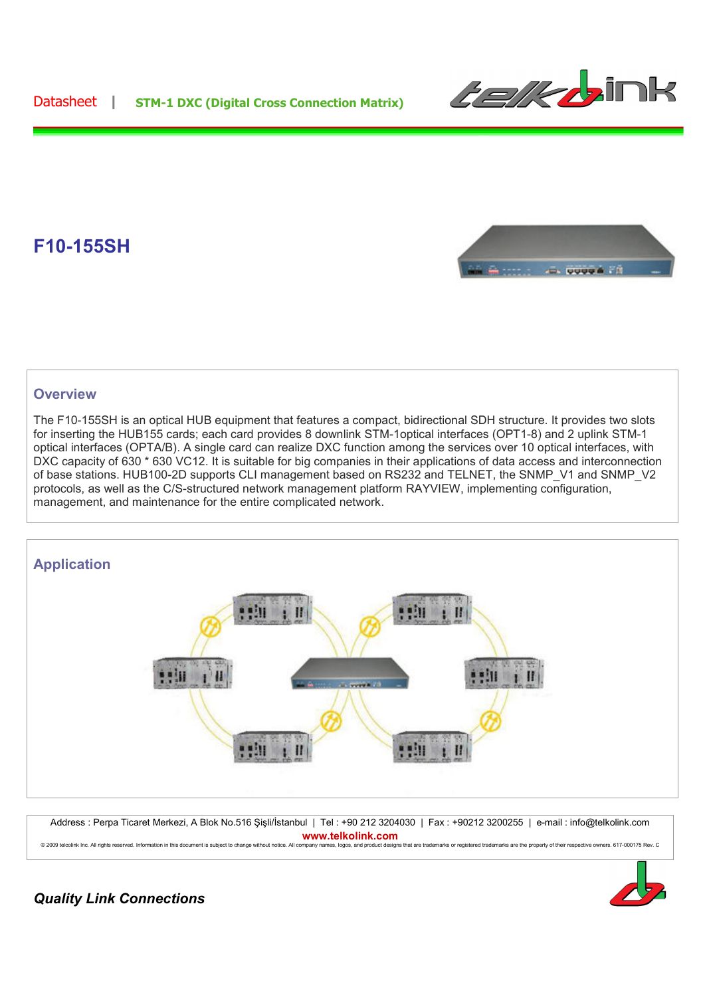Datasheet **| STM-1 DXC (Digital Cross Connection Matrix)**



## **F10-155SH**



## **Overview**

The F10-155SH is an optical HUB equipment that features a compact, bidirectional SDH structure. It provides two slots for inserting the HUB155 cards; each card provides 8 downlink STM-1optical interfaces (OPT1-8) and 2 uplink STM-1 optical interfaces (OPTA/B). A single card can realize DXC function among the services over 10 optical interfaces, with DXC capacity of 630 \* 630 VC12. It is suitable for big companies in their applications of data access and interconnection of base stations. HUB100-2D supports CLI management based on RS232 and TELNET, the SNMP\_V1 and SNMP\_V2 protocols, as well as the C/S-structured network management platform RAYVIEW, implementing configuration, management, and maintenance for the entire complicated network.



Address : Perpa Ticaret Merkezi, A Blok No.516 Şişli/İstanbul | Tel : +90 212 3204030 | Fax : +90212 3200255 | e-mail : info@telkolink.com **www.telkolink.com**

© 2009 telcolink Inc. All rights reserved. Information in this document is subject to change without notice. All company names, logos, and product designs that are trademarks or registered trademarks are the property of th



*Quality Link Connections*